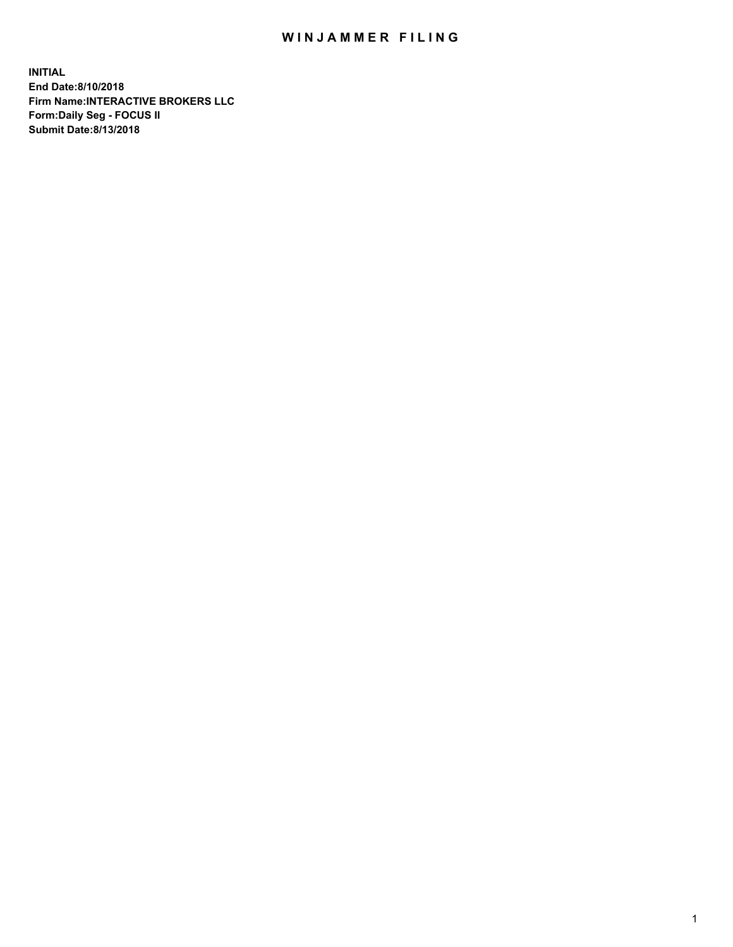## WIN JAMMER FILING

**INITIAL End Date:8/10/2018 Firm Name:INTERACTIVE BROKERS LLC Form:Daily Seg - FOCUS II Submit Date:8/13/2018**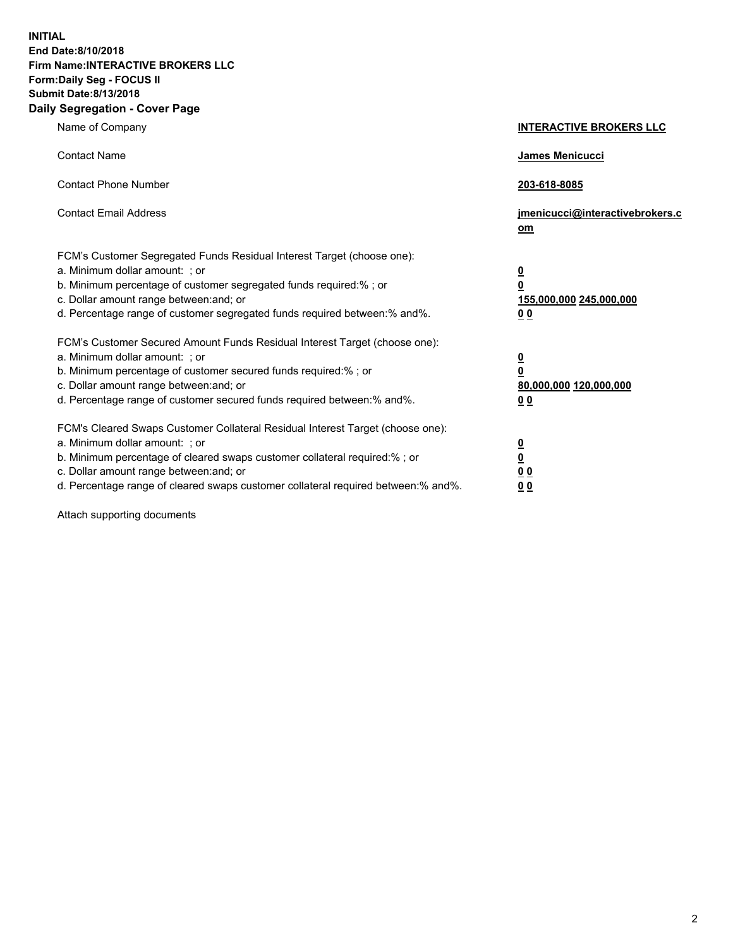**INITIAL End Date:8/10/2018 Firm Name:INTERACTIVE BROKERS LLC Form:Daily Seg - FOCUS II Submit Date:8/13/2018 Daily Segregation - Cover Page**

| Name of Company                                                                                                                                                                                                                                                                                                                | <b>INTERACTIVE BROKERS LLC</b>                                                                  |
|--------------------------------------------------------------------------------------------------------------------------------------------------------------------------------------------------------------------------------------------------------------------------------------------------------------------------------|-------------------------------------------------------------------------------------------------|
| <b>Contact Name</b>                                                                                                                                                                                                                                                                                                            | James Menicucci                                                                                 |
| <b>Contact Phone Number</b>                                                                                                                                                                                                                                                                                                    | 203-618-8085                                                                                    |
| <b>Contact Email Address</b>                                                                                                                                                                                                                                                                                                   | jmenicucci@interactivebrokers.c<br>om                                                           |
| FCM's Customer Segregated Funds Residual Interest Target (choose one):<br>a. Minimum dollar amount: ; or<br>b. Minimum percentage of customer segregated funds required:% ; or<br>c. Dollar amount range between: and; or<br>d. Percentage range of customer segregated funds required between:% and%.                         | $\overline{\mathbf{0}}$<br>$\overline{\mathbf{0}}$<br>155,000,000 245,000,000<br>0 <sub>0</sub> |
| FCM's Customer Secured Amount Funds Residual Interest Target (choose one):<br>a. Minimum dollar amount: ; or<br>b. Minimum percentage of customer secured funds required:% ; or<br>c. Dollar amount range between: and; or<br>d. Percentage range of customer secured funds required between:% and%.                           | $\overline{\mathbf{0}}$<br>0<br>80,000,000 120,000,000<br>0 <sub>0</sub>                        |
| FCM's Cleared Swaps Customer Collateral Residual Interest Target (choose one):<br>a. Minimum dollar amount: ; or<br>b. Minimum percentage of cleared swaps customer collateral required:% ; or<br>c. Dollar amount range between: and; or<br>d. Percentage range of cleared swaps customer collateral required between:% and%. | $\overline{\mathbf{0}}$<br><u>0</u><br>$\underline{0}$ $\underline{0}$<br>00                    |

Attach supporting documents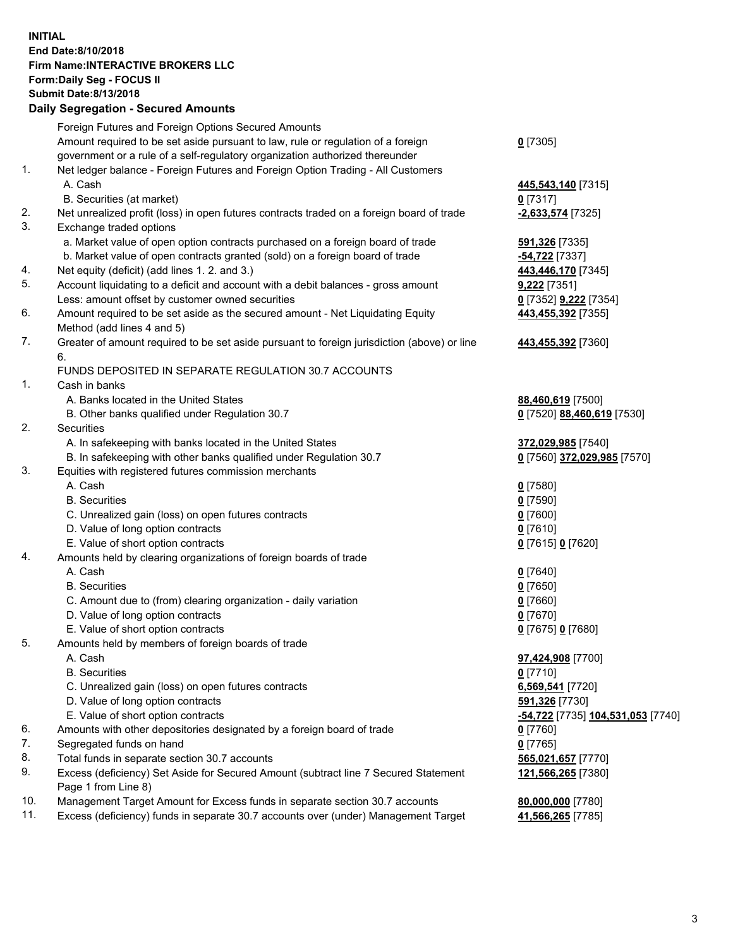## **INITIAL End Date:8/10/2018 Firm Name:INTERACTIVE BROKERS LLC Form:Daily Seg - FOCUS II Submit Date:8/13/2018 Daily Segregation - Secured Amounts**

|                | Daily Segregation - Secured Amounts                                                         |                                                                  |
|----------------|---------------------------------------------------------------------------------------------|------------------------------------------------------------------|
|                | Foreign Futures and Foreign Options Secured Amounts                                         |                                                                  |
|                | Amount required to be set aside pursuant to law, rule or regulation of a foreign            | $0$ [7305]                                                       |
|                | government or a rule of a self-regulatory organization authorized thereunder                |                                                                  |
| $\mathbf{1}$ . | Net ledger balance - Foreign Futures and Foreign Option Trading - All Customers             |                                                                  |
|                | A. Cash                                                                                     | 445,543,140 [7315]                                               |
|                | B. Securities (at market)                                                                   | $0$ [7317]                                                       |
| 2.             | Net unrealized profit (loss) in open futures contracts traded on a foreign board of trade   | -2,633,574 [7325]                                                |
| 3.             | Exchange traded options                                                                     |                                                                  |
|                | a. Market value of open option contracts purchased on a foreign board of trade              | 591,326 [7335]                                                   |
|                | b. Market value of open contracts granted (sold) on a foreign board of trade                | -54,722 [7337]                                                   |
| 4.             | Net equity (deficit) (add lines 1. 2. and 3.)                                               | 443,446,170 [7345]                                               |
| 5.             | Account liquidating to a deficit and account with a debit balances - gross amount           | 9,222 [7351]                                                     |
|                | Less: amount offset by customer owned securities                                            | 0 [7352] 9,222 [7354]                                            |
| 6.             | Amount required to be set aside as the secured amount - Net Liquidating Equity              | 443,455,392 [7355]                                               |
|                | Method (add lines 4 and 5)                                                                  |                                                                  |
| 7.             | Greater of amount required to be set aside pursuant to foreign jurisdiction (above) or line | 443,455,392 [7360]                                               |
|                | 6.                                                                                          |                                                                  |
|                | FUNDS DEPOSITED IN SEPARATE REGULATION 30.7 ACCOUNTS                                        |                                                                  |
| 1.             | Cash in banks                                                                               |                                                                  |
|                | A. Banks located in the United States                                                       | 88,460,619 [7500]                                                |
|                | B. Other banks qualified under Regulation 30.7                                              | 0 [7520] 88,460,619 [7530]                                       |
| 2.             | <b>Securities</b>                                                                           |                                                                  |
|                | A. In safekeeping with banks located in the United States                                   | 372,029,985 [7540]                                               |
|                | B. In safekeeping with other banks qualified under Regulation 30.7                          | 0 [7560] 372,029,985 [7570]                                      |
| 3.             | Equities with registered futures commission merchants                                       |                                                                  |
|                | A. Cash                                                                                     | $0$ [7580]                                                       |
|                | <b>B.</b> Securities                                                                        | $0$ [7590]                                                       |
|                | C. Unrealized gain (loss) on open futures contracts                                         | $0$ [7600]                                                       |
|                | D. Value of long option contracts                                                           | $0$ [7610]                                                       |
|                | E. Value of short option contracts                                                          | 0 [7615] 0 [7620]                                                |
| 4.             | Amounts held by clearing organizations of foreign boards of trade                           |                                                                  |
|                | A. Cash                                                                                     | $0$ [7640]                                                       |
|                | <b>B.</b> Securities                                                                        | $0$ [7650]                                                       |
|                | C. Amount due to (from) clearing organization - daily variation                             | $0$ [7660]                                                       |
|                | D. Value of long option contracts                                                           | $0$ [7670]                                                       |
|                | E. Value of short option contracts                                                          | 0 [7675] 0 [7680]                                                |
| 5.             | Amounts held by members of foreign boards of trade                                          |                                                                  |
|                | A. Cash<br><b>B.</b> Securities                                                             | 97,424,908 [7700]                                                |
|                |                                                                                             | $0$ [7710]                                                       |
|                | C. Unrealized gain (loss) on open futures contracts<br>D. Value of long option contracts    | 6,569,541 [7720]                                                 |
|                | E. Value of short option contracts                                                          | 591,326 [7730]<br><mark>-54,722</mark> [7735] 104,531,053 [7740] |
| 6.             | Amounts with other depositories designated by a foreign board of trade                      |                                                                  |
| 7.             | Segregated funds on hand                                                                    | 0 [7760]<br>$0$ [7765]                                           |
| 8.             | Total funds in separate section 30.7 accounts                                               | 565,021,657 [7770]                                               |
| 9.             | Excess (deficiency) Set Aside for Secured Amount (subtract line 7 Secured Statement         | 121,566,265 [7380]                                               |
|                | Page 1 from Line 8)                                                                         |                                                                  |
| 10.            | Management Target Amount for Excess funds in separate section 30.7 accounts                 | 80,000,000 [7780]                                                |
| 11.            | Excess (deficiency) funds in separate 30.7 accounts over (under) Management Target          | 41,566,265 [7785]                                                |
|                |                                                                                             |                                                                  |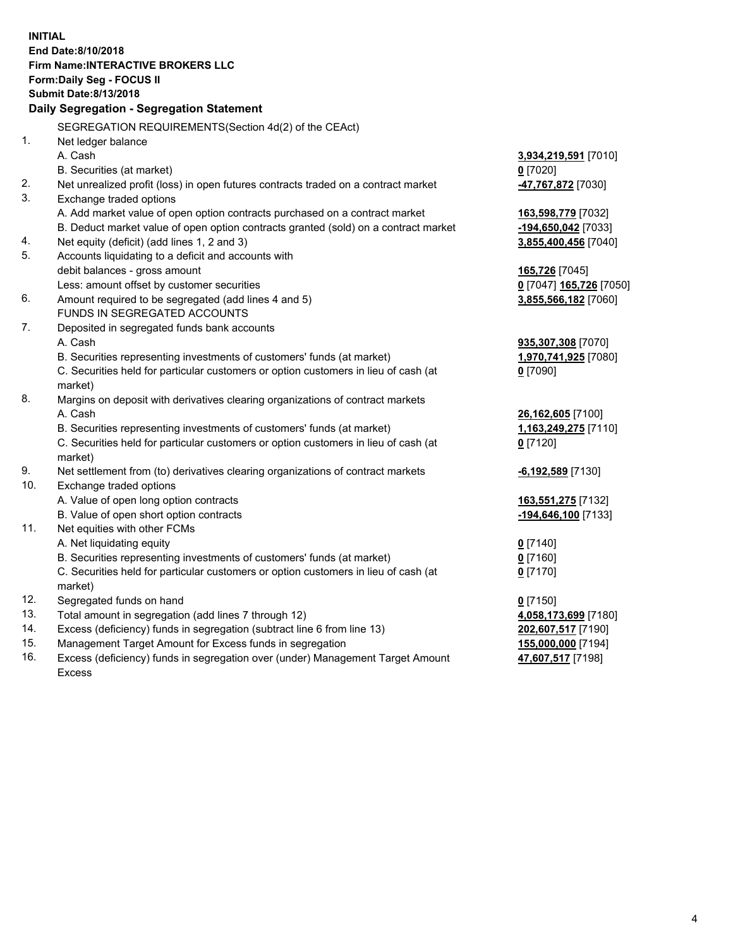**INITIAL End Date:8/10/2018 Firm Name:INTERACTIVE BROKERS LLC Form:Daily Seg - FOCUS II Submit Date:8/13/2018 Daily Segregation - Segregation Statement** SEGREGATION REQUIREMENTS(Section 4d(2) of the CEAct) 1. Net ledger balance A. Cash **3,934,219,591** [7010] B. Securities (at market) **0** [7020] 2. Net unrealized profit (loss) in open futures contracts traded on a contract market **-47,767,872** [7030] 3. Exchange traded options A. Add market value of open option contracts purchased on a contract market **163,598,779** [7032] B. Deduct market value of open option contracts granted (sold) on a contract market **-194,650,042** [7033] 4. Net equity (deficit) (add lines 1, 2 and 3) **3,855,400,456** [7040] 5. Accounts liquidating to a deficit and accounts with debit balances - gross amount **165,726** [7045] Less: amount offset by customer securities **0** [7047] **165,726** [7050] 6. Amount required to be segregated (add lines 4 and 5) **3,855,566,182** [7060] FUNDS IN SEGREGATED ACCOUNTS 7. Deposited in segregated funds bank accounts A. Cash **935,307,308** [7070] B. Securities representing investments of customers' funds (at market) **1,970,741,925** [7080] C. Securities held for particular customers or option customers in lieu of cash (at market) **0** [7090] 8. Margins on deposit with derivatives clearing organizations of contract markets A. Cash **26,162,605** [7100] B. Securities representing investments of customers' funds (at market) **1,163,249,275** [7110] C. Securities held for particular customers or option customers in lieu of cash (at market) **0** [7120] 9. Net settlement from (to) derivatives clearing organizations of contract markets **-6,192,589** [7130] 10. Exchange traded options A. Value of open long option contracts **163,551,275** [7132] B. Value of open short option contracts **-194,646,100** [7133] 11. Net equities with other FCMs A. Net liquidating equity **0** [7140] B. Securities representing investments of customers' funds (at market) **0** [7160] C. Securities held for particular customers or option customers in lieu of cash (at market) **0** [7170] 12. Segregated funds on hand **0** [7150] 13. Total amount in segregation (add lines 7 through 12) **4,058,173,699** [7180] 14. Excess (deficiency) funds in segregation (subtract line 6 from line 13) **202,607,517** [7190] 15. Management Target Amount for Excess funds in segregation **155,000,000** [7194] **47,607,517** [7198]

16. Excess (deficiency) funds in segregation over (under) Management Target Amount Excess